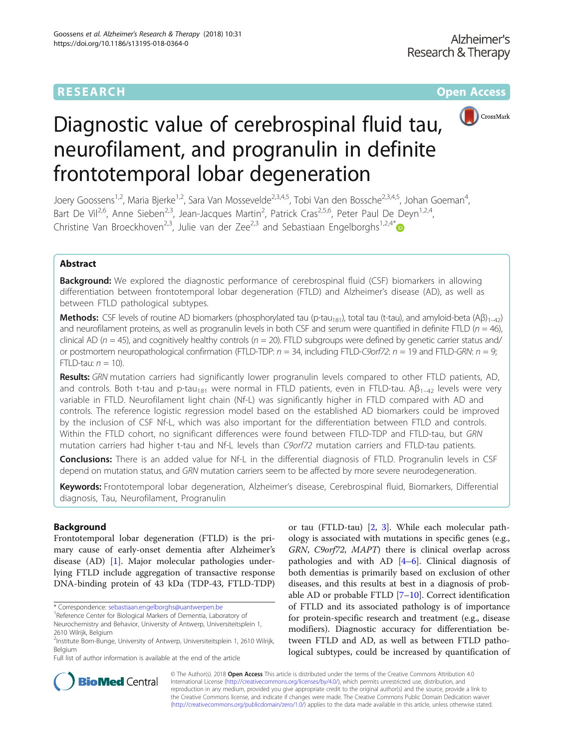# **RESEARCH CHINESE ARCH CHINESE ARCH CHINESE ARCH**



# Diagnostic value of cerebrospinal fluid tau, neurofilament, and progranulin in definite frontotemporal lobar degeneration

Joery Goossens<sup>1,2</sup>, Maria Bjerke<sup>1,2</sup>, Sara Van Mossevelde<sup>2,3,4,5</sup>, Tobi Van den Bossche<sup>2,3,4,5</sup>, Johan Goeman<sup>4</sup>, , Bart De Vil<sup>2,6</sup>, Anne Sieben<sup>2,3</sup>, Jean-Jacques Martin<sup>2</sup>, Patrick Cras<sup>2,5,6</sup>, Peter Paul De Deyn<sup>1,2,4</sup>, Christine Van Broeckhoven<sup>2,3</sup>, Julie van der Zee<sup>2,3</sup> and Sebastiaan Engelborghs<sup>1,2,4[\\*](http://orcid.org/0000-0003-0304-9785)</sup>

# Abstract

**Background:** We explored the diagnostic performance of cerebrospinal fluid (CSF) biomarkers in allowing differentiation between frontotemporal lobar degeneration (FTLD) and Alzheimer's disease (AD), as well as between FTLD pathological subtypes.

**Methods:** CSF levels of routine AD biomarkers (phosphorylated tau (p-tau<sub>181</sub>), total tau (t-tau), and amyloid-beta (Aβ)<sub>1–42</sub>) and neurofilament proteins, as well as progranulin levels in both CSF and serum were quantified in definite FTLD ( $n = 46$ ), clinical AD ( $n = 45$ ), and cognitively healthy controls ( $n = 20$ ). FTLD subgroups were defined by genetic carrier status and/ or postmortem neuropathological confirmation (FTLD-TDP:  $n = 34$ , including FTLD-C9orf72:  $n = 19$  and FTLD-GRN:  $n = 9$ ; FTLD-tau:  $n = 10$ ).

Results: GRN mutation carriers had significantly lower progranulin levels compared to other FTLD patients, AD, and controls. Both t-tau and p-tau<sub>181</sub> were normal in FTLD patients, even in FTLD-tau. A $\beta_{1-42}$  levels were very variable in FTLD. Neurofilament light chain (Nf-L) was significantly higher in FTLD compared with AD and controls. The reference logistic regression model based on the established AD biomarkers could be improved by the inclusion of CSF Nf-L, which was also important for the differentiation between FTLD and controls. Within the FTLD cohort, no significant differences were found between FTLD-TDP and FTLD-tau, but GRN mutation carriers had higher t-tau and Nf-L levels than C9orf72 mutation carriers and FTLD-tau patients.

Conclusions: There is an added value for Nf-L in the differential diagnosis of FTLD. Progranulin levels in CSF depend on mutation status, and GRN mutation carriers seem to be affected by more severe neurodegeneration.

Keywords: Frontotemporal lobar degeneration, Alzheimer's disease, Cerebrospinal fluid, Biomarkers, Differential diagnosis, Tau, Neurofilament, Progranulin

# Background

Frontotemporal lobar degeneration (FTLD) is the primary cause of early-onset dementia after Alzheimer's disease (AD) [[1\]](#page-8-0). Major molecular pathologies underlying FTLD include aggregation of transactive response DNA-binding protein of 43 kDa (TDP-43, FTLD-TDP)

\* Correspondence: [sebastiaan.engelborghs@uantwerpen.be](mailto:sebastiaan.engelborghs@uantwerpen.be) <sup>1</sup>

Full list of author information is available at the end of the article

or tau (FTLD-tau) [\[2](#page-8-0), [3](#page-8-0)]. While each molecular pathology is associated with mutations in specific genes (e.g., GRN, C9orf72, MAPT) there is clinical overlap across pathologies and with AD  $[4-6]$  $[4-6]$  $[4-6]$  $[4-6]$ . Clinical diagnosis of both dementias is primarily based on exclusion of other diseases, and this results at best in a diagnosis of probable AD or probable FTLD [[7](#page-8-0)–[10](#page-8-0)]. Correct identification of FTLD and its associated pathology is of importance for protein-specific research and treatment (e.g., disease modifiers). Diagnostic accuracy for differentiation between FTLD and AD, as well as between FTLD pathological subtypes, could be increased by quantification of



© The Author(s). 2018 Open Access This article is distributed under the terms of the Creative Commons Attribution 4.0 International License [\(http://creativecommons.org/licenses/by/4.0/](http://creativecommons.org/licenses/by/4.0/)), which permits unrestricted use, distribution, and reproduction in any medium, provided you give appropriate credit to the original author(s) and the source, provide a link to the Creative Commons license, and indicate if changes were made. The Creative Commons Public Domain Dedication waiver [\(http://creativecommons.org/publicdomain/zero/1.0/](http://creativecommons.org/publicdomain/zero/1.0/)) applies to the data made available in this article, unless otherwise stated.

<sup>&</sup>lt;sup>1</sup>Reference Center for Biological Markers of Dementia, Laboratory of

Neurochemistry and Behavior, University of Antwerp, Universiteitsplein 1, 2610 Wilrijk, Belgium

<sup>2</sup> Institute Born-Bunge, University of Antwerp, Universiteitsplein 1, 2610 Wilrijk, Belgium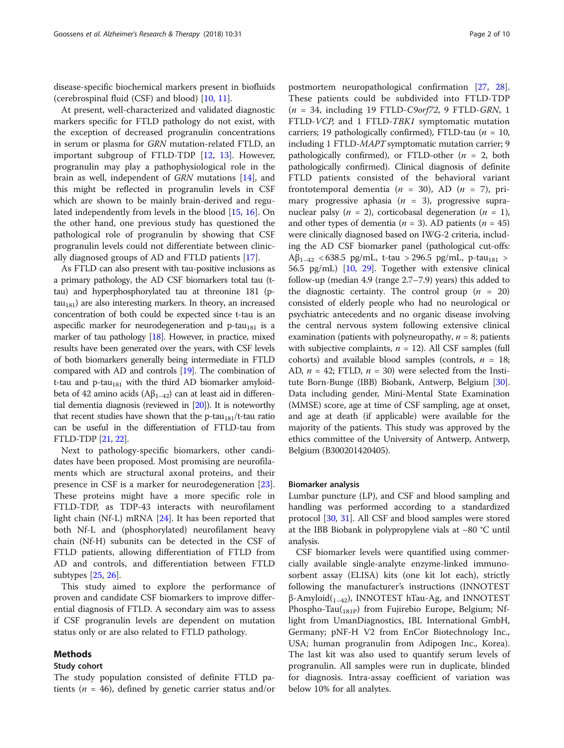disease-specific biochemical markers present in biofluids (cerebrospinal fluid (CSF) and blood) [\[10](#page-8-0), [11](#page-8-0)].

At present, well-characterized and validated diagnostic markers specific for FTLD pathology do not exist, with the exception of decreased progranulin concentrations in serum or plasma for GRN mutation-related FTLD, an important subgroup of FTLD-TDP [[12,](#page-8-0) [13\]](#page-8-0). However, progranulin may play a pathophysiological role in the brain as well, independent of GRN mutations [\[14](#page-8-0)], and this might be reflected in progranulin levels in CSF which are shown to be mainly brain-derived and regulated independently from levels in the blood [\[15](#page-8-0), [16](#page-8-0)]. On the other hand, one previous study has questioned the pathological role of progranulin by showing that CSF progranulin levels could not differentiate between clinically diagnosed groups of AD and FTLD patients [[17\]](#page-8-0).

As FTLD can also present with tau-positive inclusions as a primary pathology, the AD CSF biomarkers total tau (ttau) and hyperphosphorylated tau at threonine 181 (p $tau<sub>181</sub>$ ) are also interesting markers. In theory, an increased concentration of both could be expected since t-tau is an aspecific marker for neurodegeneration and p-tau<sub>181</sub> is a marker of tau pathology [\[18\]](#page-8-0). However, in practice, mixed results have been generated over the years, with CSF levels of both biomarkers generally being intermediate in FTLD compared with AD and controls [\[19](#page-8-0)]. The combination of t-tau and  $p$ -tau<sub>181</sub> with the third AD biomarker amyloidbeta of 42 amino acids  $(A\beta_{1-42})$  can at least aid in differential dementia diagnosis (reviewed in [\[20](#page-8-0)]). It is noteworthy that recent studies have shown that the p-tau<sub>181</sub>/t-tau ratio can be useful in the differentiation of FTLD-tau from FTLD-TDP [[21](#page-8-0), [22](#page-8-0)].

Next to pathology-specific biomarkers, other candidates have been proposed. Most promising are neurofilaments which are structural axonal proteins, and their presence in CSF is a marker for neurodegeneration [\[23](#page-9-0)]. These proteins might have a more specific role in FTLD-TDP, as TDP-43 interacts with neurofilament light chain (Nf-L) mRNA [\[24](#page-9-0)]. It has been reported that both Nf-L and (phosphorylated) neurofilament heavy chain (Nf-H) subunits can be detected in the CSF of FTLD patients, allowing differentiation of FTLD from AD and controls, and differentiation between FTLD subtypes [[25,](#page-9-0) [26\]](#page-9-0).

This study aimed to explore the performance of proven and candidate CSF biomarkers to improve differential diagnosis of FTLD. A secondary aim was to assess if CSF progranulin levels are dependent on mutation status only or are also related to FTLD pathology.

#### Methods

#### Study cohort

The study population consisted of definite FTLD patients ( $n = 46$ ), defined by genetic carrier status and/or postmortem neuropathological confirmation [[27](#page-9-0), [28](#page-9-0)]. These patients could be subdivided into FTLD-TDP  $(n = 34,$  including 19 FTLD-C9orf72, 9 FTLD-GRN, 1 FTLD-VCP, and 1 FTLD-TBK1 symptomatic mutation carriers; 19 pathologically confirmed), FTLD-tau ( $n = 10$ , including 1 FTLD-MAPT symptomatic mutation carrier; 9 pathologically confirmed), or FTLD-other  $(n = 2, \text{ both})$ pathologically confirmed). Clinical diagnosis of definite FTLD patients consisted of the behavioral variant frontotemporal dementia ( $n = 30$ ), AD ( $n = 7$ ), primary progressive aphasia  $(n = 3)$ , progressive supranuclear palsy ( $n = 2$ ), corticobasal degeneration ( $n = 1$ ), and other types of dementia ( $n = 3$ ). AD patients ( $n = 45$ ) were clinically diagnosed based on IWG-2 criteria, including the AD CSF biomarker panel (pathological cut-offs:  $Aβ_{1-42}$  < 638.5 pg/mL, t-tau > 296.5 pg/mL, p-tau<sub>181</sub> > 56.5 pg/mL) [\[10,](#page-8-0) [29](#page-9-0)]. Together with extensive clinical follow-up (median 4.9 (range 2.7–7.9) years) this added to the diagnostic certainty. The control group  $(n = 20)$ consisted of elderly people who had no neurological or psychiatric antecedents and no organic disease involving the central nervous system following extensive clinical examination (patients with polyneuropathy,  $n = 8$ ; patients with subjective complaints,  $n = 12$ ). All CSF samples (full cohorts) and available blood samples (controls,  $n = 18$ ; AD,  $n = 42$ ; FTLD,  $n = 30$ ) were selected from the Institute Born-Bunge (IBB) Biobank, Antwerp, Belgium [[30](#page-9-0)]. Data including gender, Mini-Mental State Examination (MMSE) score, age at time of CSF sampling, age at onset, and age at death (if applicable) were available for the majority of the patients. This study was approved by the ethics committee of the University of Antwerp, Antwerp, Belgium (B300201420405).

#### Biomarker analysis

Lumbar puncture (LP), and CSF and blood sampling and handling was performed according to a standardized protocol [[30](#page-9-0), [31](#page-9-0)]. All CSF and blood samples were stored at the IBB Biobank in polypropylene vials at −80 °C until analysis.

CSF biomarker levels were quantified using commercially available single-analyte enzyme-linked immunosorbent assay (ELISA) kits (one kit lot each), strictly following the manufacturer's instructions (INNOTEST  $\beta$ -Amyloid(<sub>1–42</sub>), INNOTEST hTau-Ag, and INNOTEST Phospho-Tau( $_{181P}$ ) from Fujirebio Europe, Belgium; Nflight from UmanDiagnostics, IBL International GmbH, Germany; pNF-H V2 from EnCor Biotechnology Inc., USA; human progranulin from Adipogen Inc., Korea). The last kit was also used to quantify serum levels of progranulin. All samples were run in duplicate, blinded for diagnosis. Intra-assay coefficient of variation was below 10% for all analytes.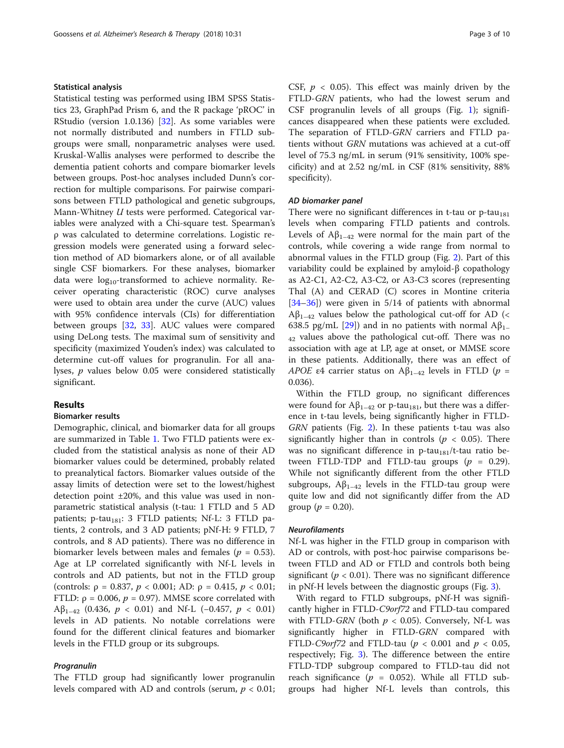#### Statistical analysis

Statistical testing was performed using IBM SPSS Statistics 23, GraphPad Prism 6, and the R package 'pROC' in RStudio (version 1.0.136) [\[32](#page-9-0)]. As some variables were not normally distributed and numbers in FTLD subgroups were small, nonparametric analyses were used. Kruskal-Wallis analyses were performed to describe the dementia patient cohorts and compare biomarker levels between groups. Post-hoc analyses included Dunn's correction for multiple comparisons. For pairwise comparisons between FTLD pathological and genetic subgroups, Mann-Whitney U tests were performed. Categorical variables were analyzed with a Chi-square test. Spearman's ρ was calculated to determine correlations. Logistic regression models were generated using a forward selection method of AD biomarkers alone, or of all available single CSF biomarkers. For these analyses, biomarker data were  $log_{10}$ -transformed to achieve normality. Receiver operating characteristic (ROC) curve analyses were used to obtain area under the curve (AUC) values with 95% confidence intervals (CIs) for differentiation between groups [[32,](#page-9-0) [33\]](#page-9-0). AUC values were compared using DeLong tests. The maximal sum of sensitivity and specificity (maximized Youden's index) was calculated to determine cut-off values for progranulin. For all analyses, p values below 0.05 were considered statistically significant.

### Results

#### Biomarker results

Demographic, clinical, and biomarker data for all groups are summarized in Table [1](#page-3-0). Two FTLD patients were excluded from the statistical analysis as none of their AD biomarker values could be determined, probably related to preanalytical factors. Biomarker values outside of the assay limits of detection were set to the lowest/highest detection point ±20%, and this value was used in nonparametric statistical analysis (t-tau: 1 FTLD and 5 AD patients; p-tau $_{181}$ : 3 FTLD patients; Nf-L: 3 FTLD patients, 2 controls, and 3 AD patients; pNf-H: 9 FTLD, 7 controls, and 8 AD patients). There was no difference in biomarker levels between males and females ( $p = 0.53$ ). Age at LP correlated significantly with Nf-L levels in controls and AD patients, but not in the FTLD group (controls:  $\rho = 0.837$ ,  $p < 0.001$ ; AD:  $\rho = 0.415$ ,  $p < 0.01$ ; FTLD:  $\rho = 0.006$ ,  $p = 0.97$ ). MMSE score correlated with Aβ<sub>1–42</sub> (0.436, *p* < 0.01) and Nf-L (−0.457, *p* < 0.01) levels in AD patients. No notable correlations were found for the different clinical features and biomarker levels in the FTLD group or its subgroups.

The FTLD group had significantly lower progranulin levels compared with AD and controls (serum,  $p < 0.01$ ; CSF,  $p < 0.05$ ). This effect was mainly driven by the FTLD-GRN patients, who had the lowest serum and CSF progranulin levels of all groups (Fig. [1\)](#page-4-0); significances disappeared when these patients were excluded. The separation of FTLD-GRN carriers and FTLD patients without GRN mutations was achieved at a cut-off level of 75.3 ng/mL in serum (91% sensitivity, 100% specificity) and at 2.52 ng/mL in CSF (81% sensitivity, 88% specificity).

There were no significant differences in t-tau or  $p$ -tau<sub>181</sub> levels when comparing FTLD patients and controls. Levels of  $A\beta_{1-42}$  were normal for the main part of the controls, while covering a wide range from normal to abnormal values in the FTLD group (Fig. [2\)](#page-5-0). Part of this variability could be explained by amyloid-β copathology as A2-C1, A2-C2, A3-C2, or A3-C3 scores (representing Thal (A) and CERAD (C) scores in Montine criteria [[34](#page-9-0)–[36](#page-9-0)]) were given in 5/14 of patients with abnormal  $A\beta_{1-42}$  values below the pathological cut-off for AD (< 638.5 pg/mL [\[29\]](#page-9-0)) and in no patients with normal  $A\beta_{1}$ <sub>42</sub> values above the pathological cut-off. There was no association with age at LP, age at onset, or MMSE score in these patients. Additionally, there was an effect of APOE ε4 carrier status on  $A\beta_{1-42}$  levels in FTLD ( $p =$ 0.036).

Within the FTLD group, no significant differences were found for  $A\beta_{1-42}$  or p-tau<sub>181</sub>, but there was a difference in t-tau levels, being significantly higher in FTLD-GRN patients (Fig. [2](#page-5-0)). In these patients t-tau was also significantly higher than in controls ( $p < 0.05$ ). There was no significant difference in p-tau<sub>181</sub>/t-tau ratio between FTLD-TDP and FTLD-tau groups  $(p = 0.29)$ . While not significantly different from the other FTLD subgroups,  $A\beta_{1-42}$  levels in the FTLD-tau group were quite low and did not significantly differ from the AD group ( $p = 0.20$ ).

Nf-L was higher in the FTLD group in comparison with AD or controls, with post-hoc pairwise comparisons between FTLD and AD or FTLD and controls both being significant ( $p < 0.01$ ). There was no significant difference in pNf-H levels between the diagnostic groups (Fig. [3\)](#page-6-0).

With regard to FTLD subgroups, pNf-H was significantly higher in FTLD-C9orf72 and FTLD-tau compared with FTLD-GRN (both  $p < 0.05$ ). Conversely, Nf-L was significantly higher in FTLD-GRN compared with FTLD-C9orf72 and FTLD-tau ( $p < 0.001$  and  $p < 0.05$ , respectively; Fig. [3](#page-6-0)). The difference between the entire FTLD-TDP subgroup compared to FTLD-tau did not reach significance ( $p = 0.052$ ). While all FTLD subgroups had higher Nf-L levels than controls, this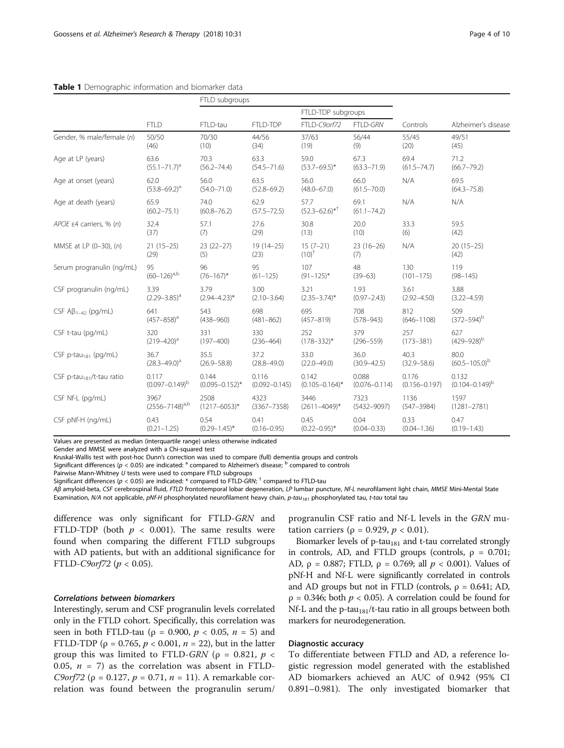|                                       |                           | FTLD subgroups          |                         |                              |                         |                   |                         |
|---------------------------------------|---------------------------|-------------------------|-------------------------|------------------------------|-------------------------|-------------------|-------------------------|
|                                       |                           | FTLD-tau                | FTLD-TDP                | FTLD-TDP subgroups           |                         |                   |                         |
|                                       | <b>FTLD</b>               |                         |                         | FTLD-C9orf72                 | <b>FTLD-GRN</b>         | Controls          | Alzheimer's disease     |
| Gender, % male/female (n)             | 50/50                     | 70/30                   | 44/56                   | 37/63                        | 56/44                   | 55/45             | 49/51                   |
|                                       | (46)                      | (10)                    | (34)                    | (19)                         | (9)                     | (20)              | (45)                    |
| Age at LP (years)                     | 63.6                      | 70.3                    | 63.3                    | 59.0                         | 67.3                    | 69.4              | 71.2                    |
|                                       | $(55.1 - 71.7)^a$         | $(56.2 - 74.4)$         | $(54.5 - 71.6)$         | $(53.7 - 69.5)^*$            | $(63.3 - 71.9)$         | $(61.5 - 74.7)$   | $(66.7 - 79.2)$         |
| Age at onset (years)                  | 62.0<br>$(53.8 - 69.2)^a$ | 56.0<br>$(54.0 - 71.0)$ | 63.5<br>$(52.8 - 69.2)$ | 56.0<br>$(48.0 - 67.0)$      | 66.0<br>$(61.5 - 70.0)$ | N/A               | 69.5<br>$(64.3 - 75.8)$ |
| Age at death (years)                  | 65.9<br>$(60.2 - 75.1)$   | 74.0<br>$(60.8 - 76.2)$ | 62.9<br>$(57.5 - 72.5)$ | 57.7<br>$(52.3 - 62.6)^{*+}$ | 69.1<br>$(61.1 - 74.2)$ | N/A               | N/A                     |
| APOE $\epsilon$ 4 carriers, % (n)     | 32.4                      | 57.1                    | 27.6                    | 30.8                         | 20.0                    | 33.3              | 59.5                    |
|                                       | (37)                      | (7)                     | (29)                    | (13)                         | (10)                    | (6)               | (42)                    |
| MMSE at LP (0-30), (n)                | $21(15-25)$<br>(29)       | $23(22-27)$<br>(5)      | $19(14-25)$<br>(23)     | $15(7-21)$<br>$(10)^{+}$     | $23(16-26)$<br>(7)      | N/A               | $20(15-25)$<br>(42)     |
| Serum progranulin (ng/mL)             | 95                        | 96                      | 95                      | 107                          | 48                      | 130               | 119                     |
|                                       | $(60-126)^{a,b}$          | $(76 - 167)^*$          | $(61 - 125)$            | $(91 - 125)^*$               | $(39 - 63)$             | $(101 - 175)$     | $(98 - 145)$            |
| CSF progranulin (ng/mL)               | 3.39                      | 3.79                    | 3.00                    | 3.21                         | 1.93                    | 3.61              | 3.88                    |
|                                       | $(2.29 - 3.85)^a$         | $(2.94 - 4.23)^*$       | $(2.10 - 3.64)$         | $(2.35 - 3.74)^*$            | $(0.97 - 2.43)$         | $(2.92 - 4.50)$   | $(3.22 - 4.59)$         |
| CSF $AB_{1-42}$ (pg/mL)               | 641                       | 543                     | 698                     | 695                          | 708                     | 812               | 509                     |
|                                       | $(457 - 858)^a$           | $(438 - 960)$           | $(481 - 862)$           | $(457 - 819)$                | $(578 - 943)$           | $(646 - 1108)$    | $(372 - 594)^b$         |
| CSF t-tau (pg/mL)                     | 320                       | 331                     | 330                     | 252                          | 379                     | 257               | 627                     |
|                                       | $(219 - 420)^a$           | $(197 - 400)$           | $(236 - 464)$           | $(178 - 332)^*$              | $(296 - 559)$           | $(173 - 381)$     | $(429 - 928)^b$         |
| CSF p-tau <sub>181</sub> (pg/mL)      | 36.7                      | 35.5                    | 37.2                    | 33.0                         | 36.0                    | 40.3              | 80.0                    |
|                                       | $(28.3 - 49.0)^a$         | $(26.9 - 58.8)$         | $(28.8 - 49.0)$         | $(22.0 - 49.0)$              | $(30.9 - 42.5)$         | $(32.9 - 58.6)$   | $(60.5 - 105.0)^b$      |
| CSF p-tau <sub>181</sub> /t-tau ratio | 0.117                     | 0.144                   | 0.116                   | 0.142                        | 0.088                   | 0.176             | 0.132                   |
|                                       | $(0.097 - 0.149)^{b}$     | $(0.095 - 0.152)^*$     | $(0.092 - 0.145)$       | $(0.105 - 0.164)^*$          | $(0.076 - 0.114)$       | $(0.156 - 0.197)$ | $(0.104 - 0.149)^{b}$   |
| CSF Nf-L (pg/mL)                      | 3967                      | 2508                    | 4323                    | 3446                         | 7323                    | 1136              | 1597                    |
|                                       | $(2556 - 7148)^{a,b}$     | $(1217 - 6053)*$        | $(3367 - 7358)$         | $(2611 - 4049)^*$            | $(5432 - 9097)$         | $(547 - 3984)$    | $(1281 - 2781)$         |
| CSF pNf-H (ng/mL)                     | 0.43                      | 0.54                    | 0.41                    | 0.45                         | 0.04                    | 0.33              | 0.47                    |
|                                       | $(0.21 - 1.25)$           | $(0.29 - 1.45)^*$       | $(0.16 - 0.95)$         | $(0.22 - 0.95)^*$            | $(0.04 - 0.33)$         | $(0.04 - 1.36)$   | $(0.19 - 1.43)$         |

#### <span id="page-3-0"></span>Table 1 Demographic information and biomarker data

Values are presented as median (interquartile range) unless otherwise indicated

Gender and MMSE were analyzed with a Chi-squared test

Kruskal-Wallis test with post-hoc Dunn's correction was used to compare (full) dementia groups and controls

Significant differences ( $p < 0.05$ ) are indicated: <sup>a</sup> compared to Alzheimer's disease; <sup>b</sup> compared to controls

Pairwise Mann-Whitney U tests were used to compare FTLD subgroups

Significant differences ( $p < 0.05$ ) are indicated: \* compared to FTLD-GRN;  $^{\dagger}$  compared to FTLD-tau

AB amyloid-beta, CSF cerebrospinal fluid, FTLD frontotemporal lobar degeneration, LP lumbar puncture, Nf-L neurofilament light chain, MMSE Mini-Mental State Examination, N/A not applicable, pNf-H phosphorylated neurofilament heavy chain, p-tau<sub>181</sub> phosphorylated tau, t-tau total tau

difference was only significant for FTLD-GRN and FTLD-TDP (both  $p < 0.001$ ). The same results were found when comparing the different FTLD subgroups with AD patients, but with an additional significance for FTLD-C9orf72 ( $p < 0.05$ ).

Interestingly, serum and CSF progranulin levels correlated only in the FTLD cohort. Specifically, this correlation was seen in both FTLD-tau ( $\rho = 0.900$ ,  $p < 0.05$ ,  $n = 5$ ) and FTLD-TDP ( $ρ = 0.765, p < 0.001, n = 22$ ), but in the latter group this was limited to FTLD-GRN ( $\rho = 0.821$ ,  $p <$ 0.05,  $n = 7$ ) as the correlation was absent in FTLD-C9orf72 (ρ = 0.127,  $p = 0.71$ ,  $n = 11$ ). A remarkable correlation was found between the progranulin serum/ progranulin CSF ratio and Nf-L levels in the GRN mutation carriers ( $\rho = 0.929$ ,  $p < 0.01$ ).

Biomarker levels of  $p$ -tau<sub>181</sub> and t-tau correlated strongly in controls, AD, and FTLD groups (controls,  $\rho = 0.701$ ; AD,  $ρ = 0.887$ ; FTLD,  $ρ = 0.769$ ; all  $p < 0.001$ ). Values of pNf-H and Nf-L were significantly correlated in controls and AD groups but not in FTLD (controls,  $\rho = 0.641$ ; AD,  $p = 0.346$ ; both  $p < 0.05$ ). A correlation could be found for Nf-L and the p-tau<sub>181</sub>/t-tau ratio in all groups between both markers for neurodegeneration.

#### Diagnostic accuracy

To differentiate between FTLD and AD, a reference logistic regression model generated with the established AD biomarkers achieved an AUC of 0.942 (95% CI 0.891–0.981). The only investigated biomarker that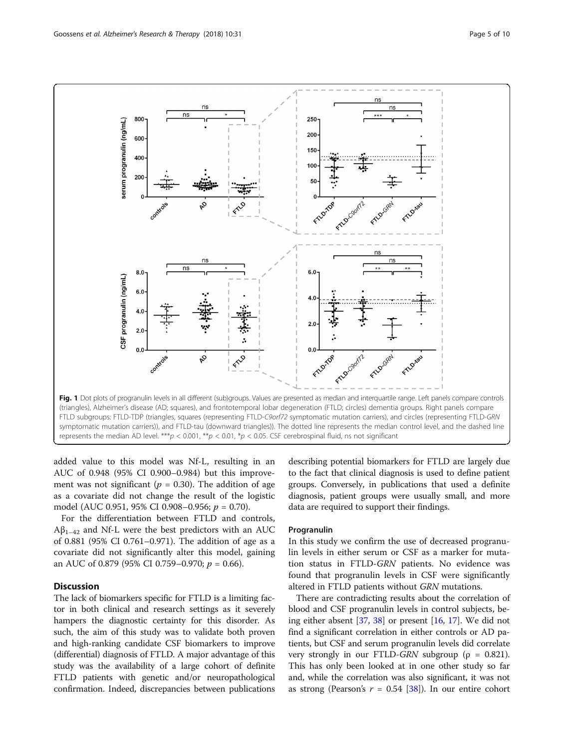<span id="page-4-0"></span>

added value to this model was Nf-L, resulting in an AUC of 0.948 (95% CI 0.900–0.984) but this improvement was not significant ( $p = 0.30$ ). The addition of age as a covariate did not change the result of the logistic model (AUC 0.951, 95% CI 0.908-0.956;  $p = 0.70$ ).

For the differentiation between FTLD and controls,  $A\beta_{1-42}$  and Nf-L were the best predictors with an AUC of 0.881 (95% CI 0.761–0.971). The addition of age as a covariate did not significantly alter this model, gaining an AUC of 0.879 (95% CI 0.759–0.970;  $p = 0.66$ ).

## **Discussion**

The lack of biomarkers specific for FTLD is a limiting factor in both clinical and research settings as it severely hampers the diagnostic certainty for this disorder. As such, the aim of this study was to validate both proven and high-ranking candidate CSF biomarkers to improve (differential) diagnosis of FTLD. A major advantage of this study was the availability of a large cohort of definite FTLD patients with genetic and/or neuropathological confirmation. Indeed, discrepancies between publications

describing potential biomarkers for FTLD are largely due to the fact that clinical diagnosis is used to define patient groups. Conversely, in publications that used a definite diagnosis, patient groups were usually small, and more data are required to support their findings.

### Progranulin

In this study we confirm the use of decreased progranulin levels in either serum or CSF as a marker for mutation status in FTLD-GRN patients. No evidence was found that progranulin levels in CSF were significantly altered in FTLD patients without GRN mutations.

There are contradicting results about the correlation of blood and CSF progranulin levels in control subjects, being either absent [\[37,](#page-9-0) [38\]](#page-9-0) or present [\[16,](#page-8-0) [17\]](#page-8-0). We did not find a significant correlation in either controls or AD patients, but CSF and serum progranulin levels did correlate very strongly in our FTLD-GRN subgroup ( $\rho = 0.821$ ). This has only been looked at in one other study so far and, while the correlation was also significant, it was not as strong (Pearson's  $r = 0.54$  [\[38\]](#page-9-0)). In our entire cohort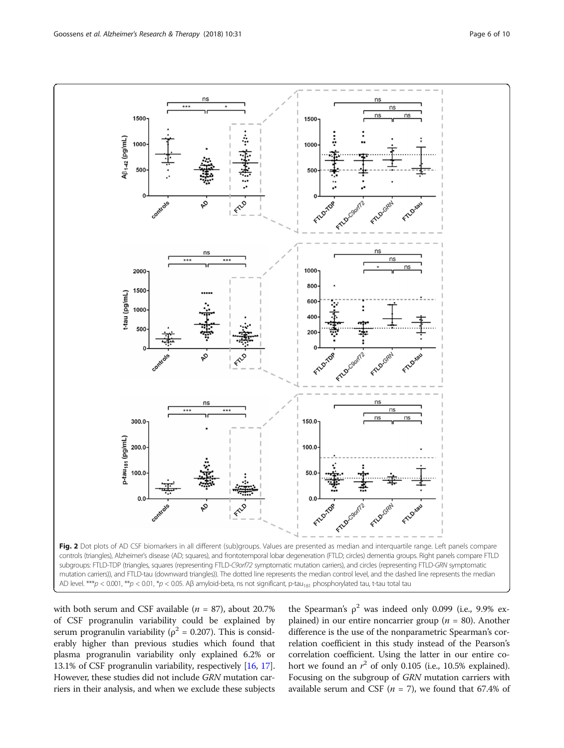<span id="page-5-0"></span>

with both serum and CSF available ( $n = 87$ ), about 20.7% of CSF progranulin variability could be explained by serum progranulin variability ( $\rho^2$  = 0.207). This is considerably higher than previous studies which found that plasma progranulin variability only explained 6.2% or 13.1% of CSF progranulin variability, respectively [[16](#page-8-0), [17](#page-8-0)]. However, these studies did not include GRN mutation carriers in their analysis, and when we exclude these subjects the Spearman's  $\rho^2$  was indeed only 0.099 (i.e., 9.9% explained) in our entire noncarrier group ( $n = 80$ ). Another difference is the use of the nonparametric Spearman's correlation coefficient in this study instead of the Pearson's correlation coefficient. Using the latter in our entire cohort we found an  $r^2$  of only 0.105 (i.e., 10.5% explained). Focusing on the subgroup of GRN mutation carriers with available serum and CSF ( $n = 7$ ), we found that 67.4% of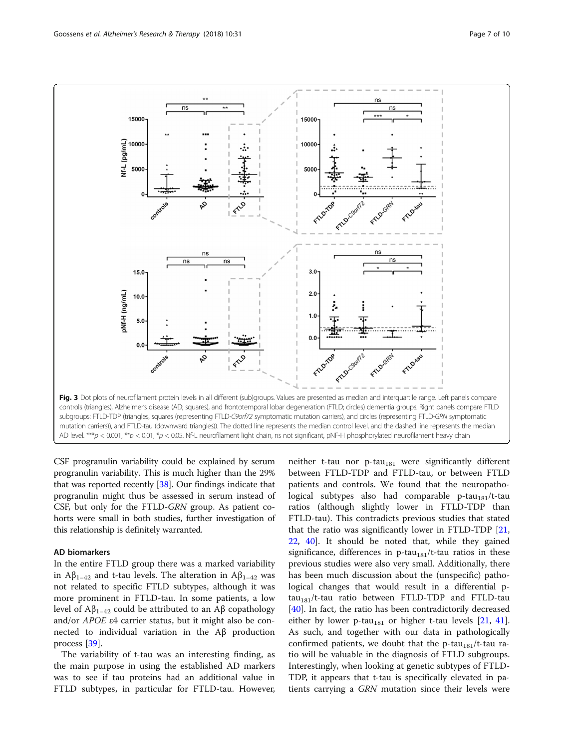<span id="page-6-0"></span>

CSF progranulin variability could be explained by serum progranulin variability. This is much higher than the 29% that was reported recently [\[38\]](#page-9-0). Our findings indicate that progranulin might thus be assessed in serum instead of CSF, but only for the FTLD-GRN group. As patient cohorts were small in both studies, further investigation of this relationship is definitely warranted.

### AD biomarkers

In the entire FTLD group there was a marked variability in Aβ<sub>1–42</sub> and t-tau levels. The alteration in Aβ<sub>1–42</sub> was not related to specific FTLD subtypes, although it was more prominent in FTLD-tau. In some patients, a low level of  $A\beta_{1-42}$  could be attributed to an Aβ copathology and/or APOE ε4 carrier status, but it might also be connected to individual variation in the Aβ production process [\[39](#page-9-0)].

The variability of t-tau was an interesting finding, as the main purpose in using the established AD markers was to see if tau proteins had an additional value in FTLD subtypes, in particular for FTLD-tau. However, neither t-tau nor  $p$ -tau<sub>181</sub> were significantly different between FTLD-TDP and FTLD-tau, or between FTLD patients and controls. We found that the neuropathological subtypes also had comparable  $p$ -tau<sub>181</sub>/t-tau ratios (although slightly lower in FTLD-TDP than FTLD-tau). This contradicts previous studies that stated that the ratio was significantly lower in FTLD-TDP [[21](#page-8-0), [22,](#page-8-0) [40\]](#page-9-0). It should be noted that, while they gained significance, differences in p-tau<sub>181</sub>/t-tau ratios in these previous studies were also very small. Additionally, there has been much discussion about the (unspecific) pathological changes that would result in a differential p $tau_{181}/t$ -tau ratio between FTLD-TDP and FTLD-tau [[40\]](#page-9-0). In fact, the ratio has been contradictorily decreased either by lower p-tau<sub>181</sub> or higher t-tau levels  $[21, 41]$  $[21, 41]$  $[21, 41]$  $[21, 41]$ . As such, and together with our data in pathologically confirmed patients, we doubt that the p-tau<sub>181</sub>/t-tau ratio will be valuable in the diagnosis of FTLD subgroups. Interestingly, when looking at genetic subtypes of FTLD-TDP, it appears that t-tau is specifically elevated in patients carrying a GRN mutation since their levels were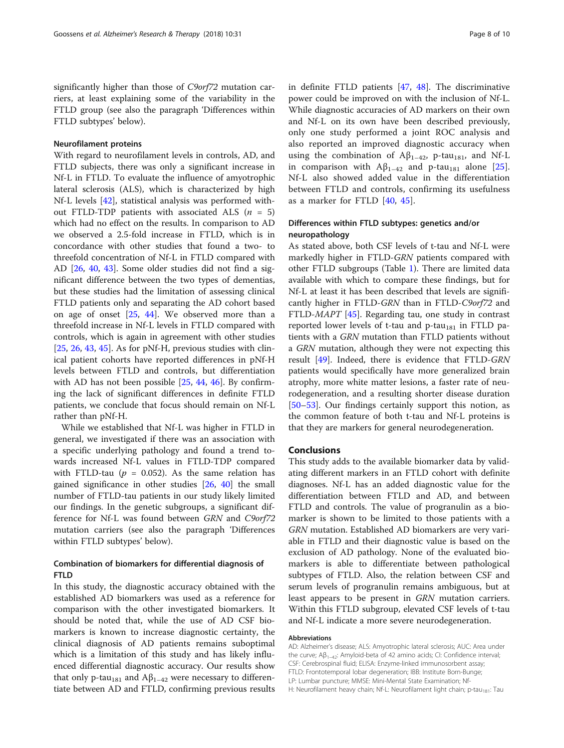significantly higher than those of C9orf72 mutation carriers, at least explaining some of the variability in the FTLD group (see also the paragraph 'Differences within FTLD subtypes' below).

#### Neurofilament proteins

With regard to neurofilament levels in controls, AD, and FTLD subjects, there was only a significant increase in Nf-L in FTLD. To evaluate the influence of amyotrophic lateral sclerosis (ALS), which is characterized by high Nf-L levels [[42\]](#page-9-0), statistical analysis was performed without FTLD-TDP patients with associated ALS  $(n = 5)$ which had no effect on the results. In comparison to AD we observed a 2.5-fold increase in FTLD, which is in concordance with other studies that found a two- to threefold concentration of Nf-L in FTLD compared with AD [[26,](#page-9-0) [40,](#page-9-0) [43\]](#page-9-0). Some older studies did not find a significant difference between the two types of dementias, but these studies had the limitation of assessing clinical FTLD patients only and separating the AD cohort based on age of onset [[25](#page-9-0), [44\]](#page-9-0). We observed more than a threefold increase in Nf-L levels in FTLD compared with controls, which is again in agreement with other studies  $[25, 26, 43, 45]$  $[25, 26, 43, 45]$  $[25, 26, 43, 45]$  $[25, 26, 43, 45]$  $[25, 26, 43, 45]$  $[25, 26, 43, 45]$  $[25, 26, 43, 45]$  $[25, 26, 43, 45]$  $[25, 26, 43, 45]$ . As for pNf-H, previous studies with clinical patient cohorts have reported differences in pNf-H levels between FTLD and controls, but differentiation with AD has not been possible [[25](#page-9-0), [44,](#page-9-0) [46](#page-9-0)]. By confirming the lack of significant differences in definite FTLD patients, we conclude that focus should remain on Nf-L rather than pNf-H.

While we established that Nf-L was higher in FTLD in general, we investigated if there was an association with a specific underlying pathology and found a trend towards increased Nf-L values in FTLD-TDP compared with FTLD-tau ( $p = 0.052$ ). As the same relation has gained significance in other studies [\[26](#page-9-0), [40](#page-9-0)] the small number of FTLD-tau patients in our study likely limited our findings. In the genetic subgroups, a significant difference for Nf-L was found between GRN and C9orf72 mutation carriers (see also the paragraph 'Differences within FTLD subtypes' below).

# Combination of biomarkers for differential diagnosis of **FTLD**

In this study, the diagnostic accuracy obtained with the established AD biomarkers was used as a reference for comparison with the other investigated biomarkers. It should be noted that, while the use of AD CSF biomarkers is known to increase diagnostic certainty, the clinical diagnosis of AD patients remains suboptimal which is a limitation of this study and has likely influenced differential diagnostic accuracy. Our results show that only p-tau<sub>181</sub> and  $Aβ_{1-42}$  were necessary to differentiate between AD and FTLD, confirming previous results

in definite FTLD patients [\[47,](#page-9-0) [48\]](#page-9-0). The discriminative power could be improved on with the inclusion of Nf-L. While diagnostic accuracies of AD markers on their own and Nf-L on its own have been described previously, only one study performed a joint ROC analysis and also reported an improved diagnostic accuracy when using the combination of  $A\beta_{1-42}$ , p-tau<sub>181</sub>, and Nf-L in comparison with  $A\beta_{1-42}$  and p-tau<sub>181</sub> alone [\[25](#page-9-0)]. Nf-L also showed added value in the differentiation between FTLD and controls, confirming its usefulness as a marker for FTLD [[40](#page-9-0), [45](#page-9-0)].

# Differences within FTLD subtypes: genetics and/or neuropathology

As stated above, both CSF levels of t-tau and Nf-L were markedly higher in FTLD-GRN patients compared with other FTLD subgroups (Table [1\)](#page-3-0). There are limited data available with which to compare these findings, but for Nf-L at least it has been described that levels are significantly higher in FTLD-GRN than in FTLD-C9orf72 and FTLD-MAPT [\[45](#page-9-0)]. Regarding tau, one study in contrast reported lower levels of t-tau and  $p$ -tau<sub>181</sub> in FTLD patients with a GRN mutation than FTLD patients without a GRN mutation, although they were not expecting this result [[49\]](#page-9-0). Indeed, there is evidence that FTLD-GRN patients would specifically have more generalized brain atrophy, more white matter lesions, a faster rate of neurodegeneration, and a resulting shorter disease duration [[50](#page-9-0)–[53](#page-9-0)]. Our findings certainly support this notion, as the common feature of both t-tau and Nf-L proteins is that they are markers for general neurodegeneration.

### Conclusions

This study adds to the available biomarker data by validating different markers in an FTLD cohort with definite diagnoses. Nf-L has an added diagnostic value for the differentiation between FTLD and AD, and between FTLD and controls. The value of progranulin as a biomarker is shown to be limited to those patients with a GRN mutation. Established AD biomarkers are very variable in FTLD and their diagnostic value is based on the exclusion of AD pathology. None of the evaluated biomarkers is able to differentiate between pathological subtypes of FTLD. Also, the relation between CSF and serum levels of progranulin remains ambiguous, but at least appears to be present in GRN mutation carriers. Within this FTLD subgroup, elevated CSF levels of t-tau and Nf-L indicate a more severe neurodegeneration.

#### Abbreviations

AD: Alzheimer's disease; ALS: Amyotrophic lateral sclerosis; AUC: Area under the curve; Aβ<sub>1–42</sub>: Amyloid-beta of 42 amino acids; CI: Confidence interval; CSF: Cerebrospinal fluid; ELISA: Enzyme-linked immunosorbent assay; FTLD: Frontotemporal lobar degeneration; IBB: Institute Born-Bunge; LP: Lumbar puncture; MMSE: Mini-Mental State Examination; Nf-H: Neurofilament heavy chain; Nf-L: Neurofilament light chain; p-tau<sub>181</sub>: Tau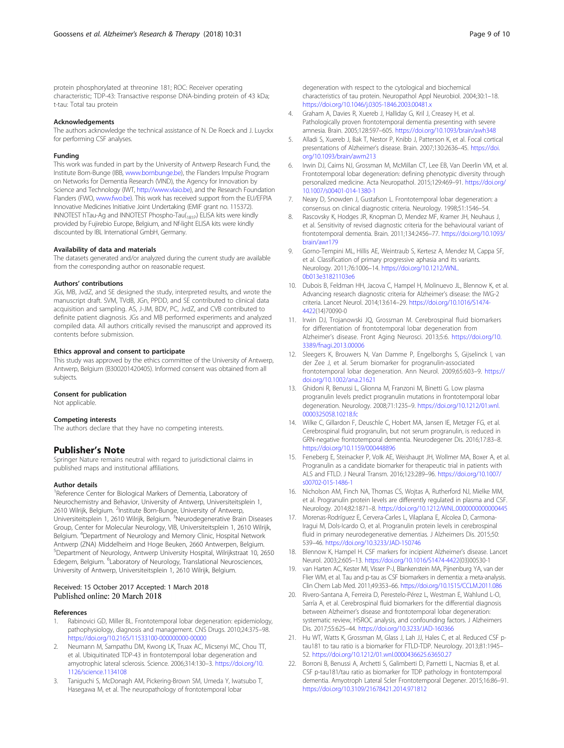<span id="page-8-0"></span>protein phosphorylated at threonine 181; ROC: Receiver operating characteristic; TDP-43: Transactive response DNA-binding protein of 43 kDa; t-tau: Total tau protein

#### Acknowledgements

The authors acknowledge the technical assistance of N. De Roeck and J. Luyckx for performing CSF analyses.

#### Funding

This work was funded in part by the University of Antwerp Research Fund, the Institute Born-Bunge (IBB, [www.bornbunge.be](http://www.bornbunge.be)), the Flanders Impulse Program on Networks for Dementia Research (VIND), the Agency for Innovation by Science and Technology (IWT, [http://www.vlaio.be\)](http://www.vlaio.be), and the Research Foundation Flanders (FWO, [www.fwo.be\)](http://www.fwo.be). This work has received support from the EU/EFPIA Innovative Medicines Initiative Joint Undertaking (EMIF grant no. 115372). INNOTEST hTau-Ag and INNOTEST Phospho-Tau(181P) ELISA kits were kindly provided by Fujirebio Europe, Belgium, and Nf-light ELISA kits were kindly discounted by IBL International GmbH, Germany.

#### Availability of data and materials

The datasets generated and/or analyzed during the current study are available from the corresponding author on reasonable request.

#### Authors' contributions

JGs, MB, JvdZ, and SE designed the study, interpreted results, and wrote the manuscript draft. SVM, TVdB, JGn, PPDD, and SE contributed to clinical data acquisition and sampling. AS, J-JM, BDV, PC, JvdZ, and CVB contributed to definite patient diagnosis. JGs and MB performed experiments and analyzed compiled data. All authors critically revised the manuscript and approved its contents before submission.

#### Ethics approval and consent to participate

This study was approved by the ethics committee of the University of Antwerp, Antwerp, Belgium (B300201420405). Informed consent was obtained from all subjects.

#### Consent for publication

Not applicable.

#### Competing interests

The authors declare that they have no competing interests.

#### Publisher's Note

Springer Nature remains neutral with regard to jurisdictional claims in published maps and institutional affiliations.

#### Author details

<sup>1</sup>Reference Center for Biological Markers of Dementia, Laboratory of Neurochemistry and Behavior, University of Antwerp, Universiteitsplein 1, 2610 Wilrijk, Belgium. <sup>2</sup>Institute Born-Bunge, University of Antwerp, Universiteitsplein 1, 2610 Wilrijk, Belgium. <sup>3</sup>Neurodegenerative Brain Diseases Group, Center for Molecular Neurology, VIB, Universiteitsplein 1, 2610 Wilrijk, Belgium. <sup>4</sup> Department of Neurology and Memory Clinic, Hospital Network Antwerp (ZNA) Middelheim and Hoge Beuken, 2660 Antwerpen, Belgium. 5 Department of Neurology, Antwerp University Hospital, Wilrijkstraat 10, 2650 Edegem, Belgium. <sup>6</sup>Laboratory of Neurology, Translational Neurosciences, University of Antwerp, Universiteitsplein 1, 2610 Wilrijk, Belgium.

#### Received: 15 October 2017 Accepted: 1 March 2018 Published online: 20 March 2018

#### References

- 1. Rabinovici GD, Miller BL. Frontotemporal lobar degeneration: epidemiology, pathophysiology, diagnosis and management. CNS Drugs. 2010;24:375–98. <https://doi.org/10.2165/11533100-000000000-00000>
- 2. Neumann M, Sampathu DM, Kwong LK, Truax AC, Micsenyi MC, Chou TT, et al. Ubiquitinated TDP-43 in frontotemporal lobar degeneration and amyotrophic lateral sclerosis. Science. 2006;314:130–3. [https://doi.org/10.](https://doi.org/10.1126/science.1134108) [1126/science.1134108](https://doi.org/10.1126/science.1134108)
- 3. Taniguchi S, McDonagh AM, Pickering-Brown SM, Umeda Y, Iwatsubo T, Hasegawa M, et al. The neuropathology of frontotemporal lobar

degeneration with respect to the cytological and biochemical characteristics of tau protein. Neuropathol Appl Neurobiol. 2004;30:1–18. <https://doi.org/10.1046/j.0305-1846.2003.00481.x>

- 4. Graham A, Davies R, Xuereb J, Halliday G, Kril J, Creasey H, et al. Pathologically proven frontotemporal dementia presenting with severe amnesia. Brain. 2005;128:597–605. <https://doi.org/10.1093/brain/awh348>
- 5. Alladi S, Xuereb J, Bak T, Nestor P, Knibb J, Patterson K, et al. Focal cortical presentations of Alzheimer's disease. Brain. 2007;130:2636–45. [https://doi.](https://doi.org/10.1093/brain/awm213) [org/10.1093/brain/awm213](https://doi.org/10.1093/brain/awm213)
- 6. Irwin DJ, Cairns NJ, Grossman M, McMillan CT, Lee EB, Van Deerlin VM, et al. Frontotemporal lobar degeneration: defining phenotypic diversity through personalized medicine. Acta Neuropathol. 2015;129:469–91. [https://doi.org/](https://doi.org/10.1007/s00401-014-1380-1) [10.1007/s00401-014-1380-1](https://doi.org/10.1007/s00401-014-1380-1)
- 7. Neary D, Snowden J, Gustafson L. Frontotemporal lobar degeneration: a consensus on clinical diagnostic criteria. Neurology. 1998;51:1546–54.
- Rascovsky K, Hodges JR, Knopman D, Mendez MF, Kramer JH, Neuhaus J, et al. Sensitivity of revised diagnostic criteria for the behavioural variant of frontotemporal dementia. Brain. 2011;134:2456–77. [https://doi.org/10.1093/](https://doi.org/10.1093/brain/awr179) [brain/awr179](https://doi.org/10.1093/brain/awr179)
- 9. Gorno-Tempini ML, Hillis AE, Weintraub S, Kertesz A, Mendez M, Cappa SF, et al. Classification of primary progressive aphasia and its variants. Neurology. 2011;76:1006–14. [https://doi.org/10.1212/WNL.](https://doi.org/10.1212/WNL.0b013e31821103e6) [0b013e31821103e6](https://doi.org/10.1212/WNL.0b013e31821103e6)
- 10. Dubois B, Feldman HH, Jacova C, Hampel H, Molinuevo JL, Blennow K, et al. Advancing research diagnostic criteria for Alzheimer's disease: the IWG-2 criteria. Lancet Neurol. 2014;13:614–29. [https://doi.org/10.1016/S1474-](https://doi.org/10.1016/S1474-4422) [4422](https://doi.org/10.1016/S1474-4422)(14)70090-0
- 11. Irwin DJ, Trojanowski JQ, Grossman M. Cerebrospinal fluid biomarkers for differentiation of frontotemporal lobar degeneration from Alzheimer's disease. Front Aging Neurosci. 2013;5:6. [https://doi.org/10.](https://doi.org/10.3389/fnagi.2013.00006) [3389/fnagi.2013.00006](https://doi.org/10.3389/fnagi.2013.00006)
- 12. Sleegers K, Brouwers N, Van Damme P, Engelborghs S, Gijselinck I, van der Zee J, et al. Serum biomarker for progranulin-associated frontotemporal lobar degeneration. Ann Neurol. 2009;65:603–9. [https://](https://doi.org/10.1002/ana.21621) [doi.org/10.1002/ana.21621](https://doi.org/10.1002/ana.21621)
- 13. Ghidoni R, Benussi L, Glionna M, Franzoni M, Binetti G. Low plasma progranulin levels predict progranulin mutations in frontotemporal lobar degeneration. Neurology. 2008;71:1235–9. [https://doi.org/10.1212/01.wnl.](https://doi.org/10.1212/01.wnl.0000325058.10218.fc) [0000325058.10218.fc](https://doi.org/10.1212/01.wnl.0000325058.10218.fc)
- 14. Wilke C, Gillardon F, Deuschle C, Hobert MA, Jansen IE, Metzger FG, et al. Cerebrospinal fluid progranulin, but not serum progranulin, is reduced in GRN-negative frontotemporal dementia. Neurodegener Dis. 2016;17:83–8. <https://doi.org/10.1159/000448896>
- 15. Feneberg E, Steinacker P, Volk AE, Weishaupt JH, Wollmer MA, Boxer A, et al. Progranulin as a candidate biomarker for therapeutic trial in patients with ALS and FTLD. J Neural Transm. 2016;123:289–96. [https://doi.org/10.1007/](https://doi.org/10.1007/s00702-015-1486-1) [s00702-015-1486-1](https://doi.org/10.1007/s00702-015-1486-1)
- 16. Nicholson AM, Finch NA, Thomas CS, Wojtas A, Rutherford NJ, Mielke MM, et al. Progranulin protein levels are differently regulated in plasma and CSF. Neurology. 2014;82:1871–8. <https://doi.org/10.1212/WNL.0000000000000445>
- 17. Morenas-Rodríguez E, Cervera-Carles L, Vilaplana E, Alcolea D, Carmona-Iragui M, Dols-Icardo O, et al. Progranulin protein levels in cerebrospinal fluid in primary neurodegenerative dementias. J Alzheimers Dis. 2015;50: 539–46. <https://doi.org/10.3233/JAD-150746>
- 18. Blennow K, Hampel H. CSF markers for incipient Alzheimer's disease. Lancet Neurol. 2003;2:605–13. <https://doi.org/10.1016/S1474-4422>(03)00530-1
- 19. van Harten AC, Kester MI, Visser P-J, Blankenstein MA, Pijnenburg YA, van der Flier WM, et al. Tau and p-tau as CSF biomarkers in dementia: a meta-analysis. Clin Chem Lab Med. 2011;49:353–66. <https://doi.org/10.1515/CCLM.2011.086>
- 20. Rivero-Santana A, Ferreira D, Perestelo-Pérez L, Westman E, Wahlund L-O, Sarría A, et al. Cerebrospinal fluid biomarkers for the differential diagnosis between Alzheimer's disease and frontotemporal lobar degeneration: systematic review, HSROC analysis, and confounding factors. J Alzheimers Dis. 2017;55:625–44. <https://doi.org/10.3233/JAD-160366>
- 21. Hu WT, Watts K, Grossman M, Glass J, Lah JJ, Hales C, et al. Reduced CSF ptau181 to tau ratio is a biomarker for FTLD-TDP. Neurology. 2013;81:1945– 52. <https://doi.org/10.1212/01.wnl.0000436625.63650.27>
- 22. Borroni B, Benussi A, Archetti S, Galimberti D, Parnetti L, Nacmias B, et al. CSF p-tau181/tau ratio as biomarker for TDP pathology in frontotemporal dementia. Amyotroph Lateral Scler Frontotemporal Degener. 2015;16:86–91. <https://doi.org/10.3109/21678421.2014.971812>